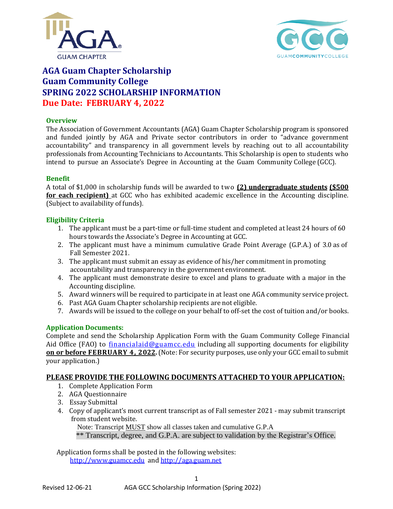



# **AGA Guam Chapter Scholarship Guam Community College SPRING 2022 SCHOLARSHIP INFORMATION Due Date: FEBRUARY 4, 2022**

### **Overview**

The Association of Government Accountants (AGA) Guam Chapter Scholarship program is sponsored and funded jointly by AGA and Private sector contributors in order to "advance government accountability" and transparency in all government levels by reaching out to all accountability professionals from Accounting Technicians to Accountants. This Scholarship is open to students who intend to pursue an Associate's Degree in Accounting at the Guam Community College (GCC).

#### **Benefit**

A total of \$1,000 in scholarship funds will be awarded to two **(2) undergraduate students (\$500 for each recipient)** at GCC who has exhibited academic excellence in the Accounting discipline. (Subject to availability of funds).

### **Eligibility Criteria**

- 1. The applicant must be a part-time or full-time student and completed at least 24 hours of 60 hours towards the Associate's Degree in Accounting at GCC.
- 2. The applicant must have a minimum cumulative Grade Point Average (G.P.A.) of 3.0 as of Fall Semester 2021.
- 3. The applicant must submit an essay as evidence of his/her commitment in promoting accountability and transparency in the government environment.
- 4. The applicant must demonstrate desire to excel and plans to graduate with a major in the Accounting discipline.
- 5. Award winners will be required to participate in at least one AGA community service project.
- 6. Past AGA Guam Chapter scholarship recipients are not eligible.
- 7. Awards will be issued to the college on your behalf to off-set the cost of tuition and/or books.

### **Application Documents:**

Complete and send the Scholarship Application Form with the Guam Community College Financial Aid Office (FAO) to [financialaid@guamcc.edu](mailto:financialaid@guamcc.edu) including all supporting documents for eligibility **on or before FEBRUARY 4, 2022.**(Note: For security purposes, use only your GCC email to submit your application.)

### **PLEASE PROVIDE THE FOLLOWING DOCUMENTS ATTACHED TO YOUR APPLICATION:**

- 1. Complete Application Form
- 2. AGA Questionnaire
- 3. Essay Submittal
- 4. Copy of applicant's most current transcript as of Fall semester 2021 may submit transcript from student website.

1

Note: Transcript MUST show all classes taken and cumulative G.P.A

\*\* Transcript, degree, and G.P.A. are subject to validation by the Registrar's Office.

Application forms shall be posted in the following websites: http://www.guamcc.edu and [http://aga.guam.net](http://aga.guam.net/)